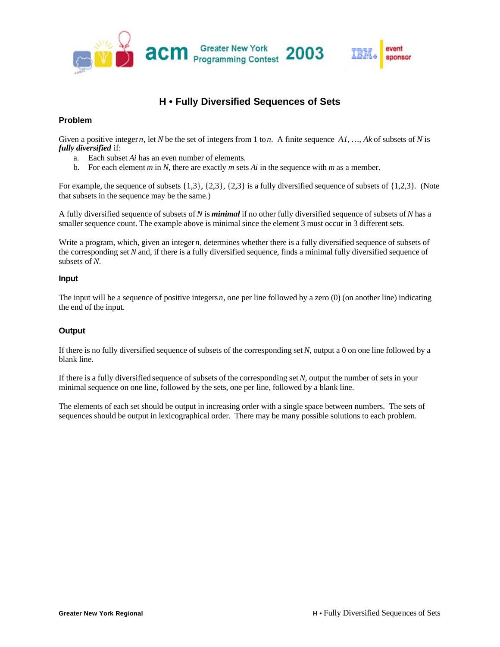

# **H • Fully Diversified Sequences of Sets**

### **Problem**

Given a positive integer *n*, let *N* be the set of integers from 1 to *n*. A finite sequence *A1*, ..., *Ak* of subsets of *N* is *fully diversified* if:

- a. Each subset *Ai* has an even number of elements.
- b. For each element *m* in *N*, there are exactly *m* sets *Ai* in the sequence with *m* as a member.

For example, the sequence of subsets {1,3}, {2,3}, {2,3} is a fully diversified sequence of subsets of {1,2,3}. (Note that subsets in the sequence may be the same.)

A fully diversified sequence of subsets of *N* is *minimal* if no other fully diversified sequence of subsets of *N* has a smaller sequence count. The example above is minimal since the element 3 must occur in 3 different sets.

Write a program, which, given an integer *n*, determines whether there is a fully diversified sequence of subsets of the corresponding set *N* and, if there is a fully diversified sequence, finds a minimal fully diversified sequence of subsets of *N*.

#### **Input**

The input will be a sequence of positive integers *n,* one per line followed by a zero (0) (on another line) indicating the end of the input.

#### **Output**

If there is no fully diversified sequence of subsets of the corresponding set *N*, output a 0 on one line followed by a blank line.

If there is a fully diversified sequence of subsets of the corresponding set *N*, output the number of sets in your minimal sequence on one line, followed by the sets, one per line, followed by a blank line.

The elements of each set should be output in increasing order with a single space between numbers. The sets of sequences should be output in lexicographical order. There may be many possible solutions to each problem.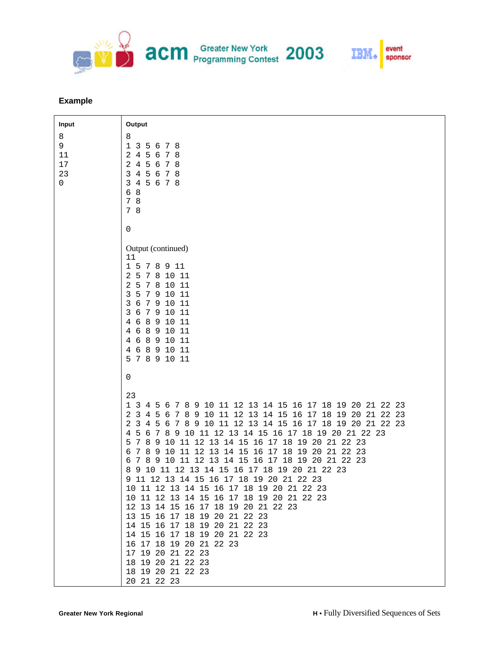

## **Example**

| Input                               | Output                                                                                                                                                                                                                                                                                                                                                                                                                                                                                                                                                                                                                                                                                                                                                                                                                                                                                                                                                                                   |
|-------------------------------------|------------------------------------------------------------------------------------------------------------------------------------------------------------------------------------------------------------------------------------------------------------------------------------------------------------------------------------------------------------------------------------------------------------------------------------------------------------------------------------------------------------------------------------------------------------------------------------------------------------------------------------------------------------------------------------------------------------------------------------------------------------------------------------------------------------------------------------------------------------------------------------------------------------------------------------------------------------------------------------------|
| 8<br>9<br>$11\,$<br>$17$<br>23<br>0 | 8<br>$\mathbf 1$<br>3<br>5<br>7<br>8<br>6<br>2<br>$\overline{4}$<br>5<br>8<br>6<br>7<br>$\overline{2}$<br>$\overline{4}$<br>5<br>8<br>6<br>7<br>$\overline{4}$<br>5<br>3<br>6<br>78<br>$3\quad 4$<br>5 6 7 8<br>6 8<br>7 8<br>7 8                                                                                                                                                                                                                                                                                                                                                                                                                                                                                                                                                                                                                                                                                                                                                        |
|                                     | $\mathsf 0$<br>Output (continued)<br>11<br>1 5 7<br>8<br>11<br>9<br>2<br>5<br>7<br>8<br>10 11<br>2<br>5<br>7 8 10 11<br>3<br>5<br>7 9 10 11<br>3<br>6<br>$\overline{7}$<br>9 10<br>-11<br>3<br>6<br>7<br>9<br>11<br>10<br>$\,8\,$<br>4<br>6<br>9 10 11<br>6 8 9 10 11<br>4<br>6 8 9 10 11<br>4<br>6 8 9 10 11<br>4<br>5 7 8 9 10 11                                                                                                                                                                                                                                                                                                                                                                                                                                                                                                                                                                                                                                                      |
|                                     | $\mathsf 0$                                                                                                                                                                                                                                                                                                                                                                                                                                                                                                                                                                                                                                                                                                                                                                                                                                                                                                                                                                              |
|                                     | 23<br>8 9 10 11 12 13 14 15 16 17 18 19 20 21 22 23<br>1 3 4 5<br>6<br>7<br>2 <sub>3</sub><br>8 9 10 11 12 13 14 15 16 17 18 19<br>20 21 22 23<br>4<br>5<br>6<br>7<br>8 9 10 11 12 13 14 15 16 17 18 19 20 21 22 23<br>2<br>$\overline{3}$<br>4<br>5<br>- 6<br>7<br>9 10 11 12 13 14 15 16 17 18 19 20 21 22 23<br>7<br>4<br>5<br>6<br>8<br>10 11 12 13 14 15 16 17 18 19 20 21 22 23<br>8<br>9<br>5<br>7<br>9 10 11 12 13 14 15 16 17 18 19 20 21 22 23<br>6<br>7<br>8<br>9 10 11 12 13 14 15 16 17 18 19 20 21 22 23<br>6<br>8<br>7<br>10 11 12 13 14 15 16 17 18 19 20 21 22 23<br>8<br>9<br>11 12 13 14 15 16 17 18 19 20 21 22 23<br>9<br>10 11 12 13 14 15 16 17 18 19 20 21 22 23<br>10 11 12 13 14 15 16 17 18 19 20 21 22 23<br>12 13 14 15 16 17 18 19 20 21 22 23<br>13 15 16 17 18 19 20 21 22 23<br>14 15 16 17 18 19 20 21 22 23<br>14 15 16 17 18 19 20 21 22 23<br>16 17 18 19 20 21 22 23<br>17 19 20 21 22 23<br>18 19 20 21 22 23<br>18 19 20 21 22 23<br>20 21 22 23 |